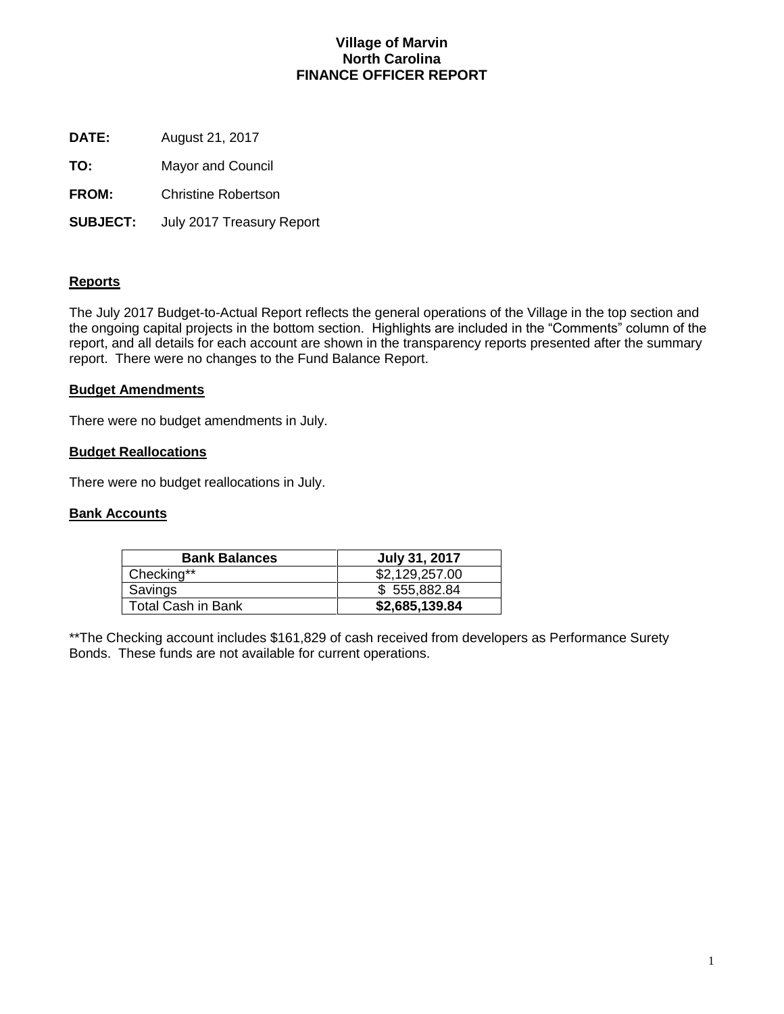# **Village of Marvin North Carolina FINANCE OFFICER REPORT**

**DATE:** August 21, 2017

**TO:** Mayor and Council

**FROM:** Christine Robertson

**SUBJECT:** July 2017 Treasury Report

# **Reports**

The July 2017 Budget-to-Actual Report reflects the general operations of the Village in the top section and the ongoing capital projects in the bottom section. Highlights are included in the "Comments" column of the report, and all details for each account are shown in the transparency reports presented after the summary report. There were no changes to the Fund Balance Report.

# **Budget Amendments**

There were no budget amendments in July.

## **Budget Reallocations**

There were no budget reallocations in July.

# **Bank Accounts**

| <b>Bank Balances</b> | July 31, 2017  |
|----------------------|----------------|
| Checking**           | \$2,129,257.00 |
| Savings              | \$555,882.84   |
| Total Cash in Bank   | \$2,685,139.84 |

\*\*The Checking account includes \$161,829 of cash received from developers as Performance Surety Bonds. These funds are not available for current operations.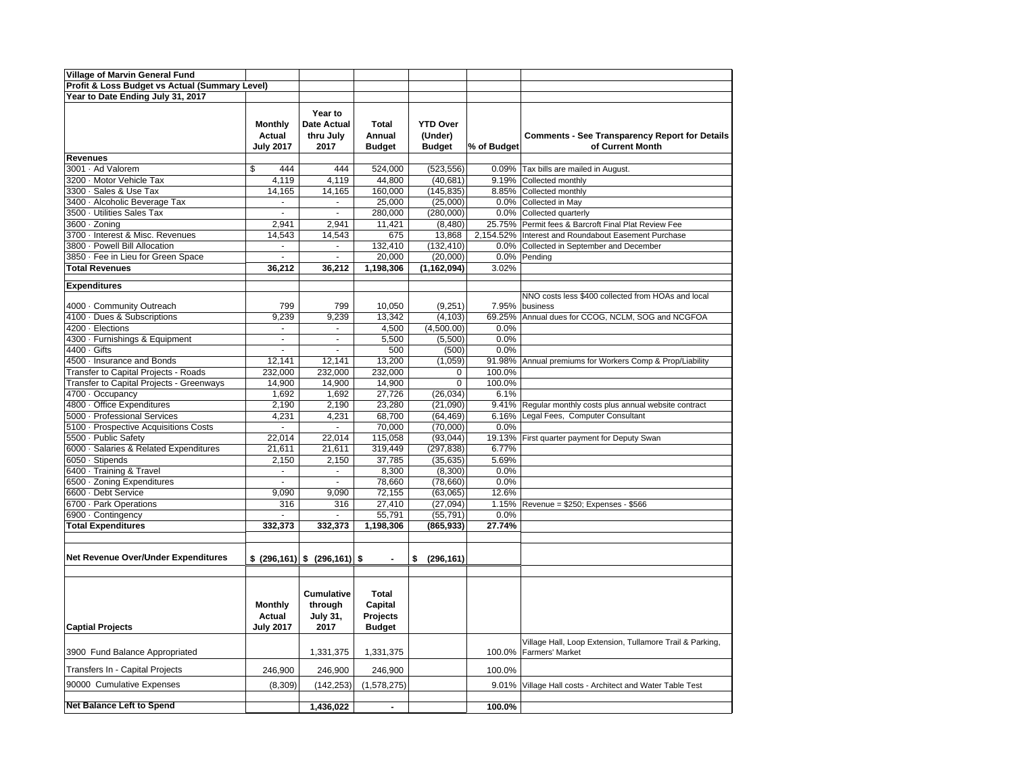| <b>Village of Marvin General Fund</b>          |                  |                                |                |                 |             |                                                                |
|------------------------------------------------|------------------|--------------------------------|----------------|-----------------|-------------|----------------------------------------------------------------|
| Profit & Loss Budget vs Actual (Summary Level) |                  |                                |                |                 |             |                                                                |
| Year to Date Ending July 31, 2017              |                  |                                |                |                 |             |                                                                |
|                                                |                  | Year to                        |                |                 |             |                                                                |
|                                                | <b>Monthly</b>   | Date Actual                    | Total          | <b>YTD Over</b> |             |                                                                |
|                                                | Actual           | thru July                      | Annual         | (Under)         |             | <b>Comments - See Transparency Report for Details</b>          |
|                                                |                  |                                |                |                 |             |                                                                |
|                                                | <b>July 2017</b> | 2017                           | <b>Budget</b>  | <b>Budget</b>   | % of Budget | of Current Month                                               |
| <b>Revenues</b>                                |                  |                                |                |                 |             |                                                                |
| 3001 · Ad Valorem                              | \$<br>444        | 444                            | 524,000        | (523, 556)      |             | 0.09% Tax bills are mailed in August.                          |
| 3200 · Motor Vehicle Tax                       | 4,119            | 4,119                          | 44,800         | (40, 681)       |             | 9.19% Collected monthly                                        |
| 3300 · Sales & Use Tax                         | 14,165           | 14,165                         | 160,000        | (145, 835)      |             | 8.85% Collected monthly                                        |
| 3400 · Alcoholic Beverage Tax                  | $\sim$           | $\blacksquare$                 | 25,000         | (25,000)        |             | 0.0% Collected in May                                          |
| 3500 · Utilities Sales Tax                     | ÷,               | ä,                             | 280,000        | (280,000)       |             | 0.0% Collected quarterly                                       |
| $3600 \cdot$ Zoning                            | 2,941            | 2,941                          | 11,421         | (8,480)         |             | 25.75% Permit fees & Barcroft Final Plat Review Fee            |
| 3700 · Interest & Misc. Revenues               | 14,543           | 14,543                         | 675            | 13,868          |             | 2,154.52% Interest and Roundabout Easement Purchase            |
| 3800 · Powell Bill Allocation                  | ÷,               | ÷.                             | 132,410        | (132, 410)      |             | 0.0% Collected in September and December                       |
| 3850 · Fee in Lieu for Green Space             | ÷,               | ä,                             | 20,000         | (20,000)        |             | 0.0% Pending                                                   |
| <b>Total Revenues</b>                          | 36,212           | 36,212                         | 1,198,306      | (1, 162, 094)   | 3.02%       |                                                                |
|                                                |                  |                                |                |                 |             |                                                                |
| <b>Expenditures</b>                            |                  |                                |                |                 |             |                                                                |
|                                                | 799              | 799                            | 10,050         | (9, 251)        | 7.95%       | NNO costs less \$400 collected from HOAs and local<br>business |
| 4000 · Community Outreach                      |                  |                                |                |                 |             | Annual dues for CCOG, NCLM, SOG and NCGFOA                     |
| 4100 · Dues & Subscriptions                    | 9,239<br>÷.      | 9,239<br>÷.                    | 13,342         | (4, 103)        | 69.25%      |                                                                |
| 4200 · Elections                               |                  |                                | 4,500          | (4,500.00)      | 0.0%        |                                                                |
| 4300 · Furnishings & Equipment                 | $\blacksquare$   | $\blacksquare$                 | 5,500          | (5,500)         | 0.0%        |                                                                |
| 4400 · Gifts                                   | $\overline{a}$   | $\overline{a}$                 | 500            | (500)           | 0.0%        |                                                                |
| 4500 · Insurance and Bonds                     | 12,141           | 12,141                         | 13,200         | (1,059)         | 91.98%      | Annual premiums for Workers Comp & Prop/Liability              |
| Transfer to Capital Projects - Roads           | 232,000          | 232,000                        | 232,000        | 0               | 100.0%      |                                                                |
| Transfer to Capital Projects - Greenways       | 14,900           | 14,900                         | 14,900         | $\mathbf 0$     | 100.0%      |                                                                |
| 4700 · Occupancy                               | 1,692            | 1,692                          | 27,726         | (26, 034)       | 6.1%        |                                                                |
| 4800 · Office Expenditures                     | 2,190            | 2,190                          | 23,280         | (21,090)        | 9.41%       | Regular monthly costs plus annual website contract             |
| 5000 · Professional Services                   | 4,231            | 4,231                          | 68,700         | (64, 469)       | 6.16%       | Legal Fees, Computer Consultant                                |
| 5100 · Prospective Acquisitions Costs          | $\omega$         | ÷.                             | 70,000         | (70,000)        | 0.0%        |                                                                |
| 5500 · Public Safety                           | 22,014           | 22,014                         | 115,058        | (93, 044)       | 19.13%      | First quarter payment for Deputy Swan                          |
| 6000 · Salaries & Related Expenditures         | 21,611           | 21,611                         | 319,449        | (297, 838)      | 6.77%       |                                                                |
| 6050 · Stipends                                | 2,150            | 2,150                          | 37,785         | (35, 635)       | 5.69%       |                                                                |
| 6400 · Training & Travel                       | ÷,               | ÷.                             | 8,300          | (8,300)         | 0.0%        |                                                                |
| 6500 · Zoning Expenditures                     | $\omega$         | $\omega$                       | 78,660         | (78, 660)       | 0.0%        |                                                                |
| 6600 · Debt Service                            | 9,090            | 9.090                          | 72,155         | (63,065)        | 12.6%       |                                                                |
| 6700 · Park Operations                         | 316              | 316                            | 27,410         | (27, 094)       |             | 1.15% Revenue = \$250; Expenses - \$566                        |
| 6900 · Contingency                             |                  |                                | 55,791         | (55, 791)       | 0.0%        |                                                                |
| <b>Total Expenditures</b>                      | 332,373          | 332,373                        | 1,198,306      | (865, 933)      | 27.74%      |                                                                |
|                                                |                  |                                |                |                 |             |                                                                |
|                                                |                  |                                |                |                 |             |                                                                |
| Net Revenue Over/Under Expenditures            |                  | \$ (296, 161) \$ (296, 161) \$ |                | \$<br>(296,161) |             |                                                                |
|                                                |                  |                                |                |                 |             |                                                                |
|                                                |                  |                                |                |                 |             |                                                                |
|                                                |                  | <b>Cumulative</b>              | <b>Total</b>   |                 |             |                                                                |
|                                                | <b>Monthly</b>   | through                        | Capital        |                 |             |                                                                |
|                                                | Actual           |                                |                |                 |             |                                                                |
|                                                |                  | <b>July 31,</b>                | Projects       |                 |             |                                                                |
| <b>Captial Projects</b>                        | <b>July 2017</b> | 2017                           | <b>Budget</b>  |                 |             |                                                                |
|                                                |                  |                                |                |                 |             | Village Hall, Loop Extension, Tullamore Trail & Parking,       |
| 3900 Fund Balance Appropriated                 |                  | 1,331,375                      | 1,331,375      |                 |             | 100.0% Farmers' Market                                         |
|                                                |                  |                                |                |                 |             |                                                                |
| Transfers In - Capital Projects                | 246,900          | 246,900                        | 246,900        |                 | 100.0%      |                                                                |
| 90000 Cumulative Expenses                      | (8,309)          | (142, 253)                     | (1,578,275)    |                 | 9.01%       | Village Hall costs - Architect and Water Table Test            |
|                                                |                  |                                |                |                 |             |                                                                |
| <b>Net Balance Left to Spend</b>               |                  | 1,436,022                      | $\blacksquare$ |                 | 100.0%      |                                                                |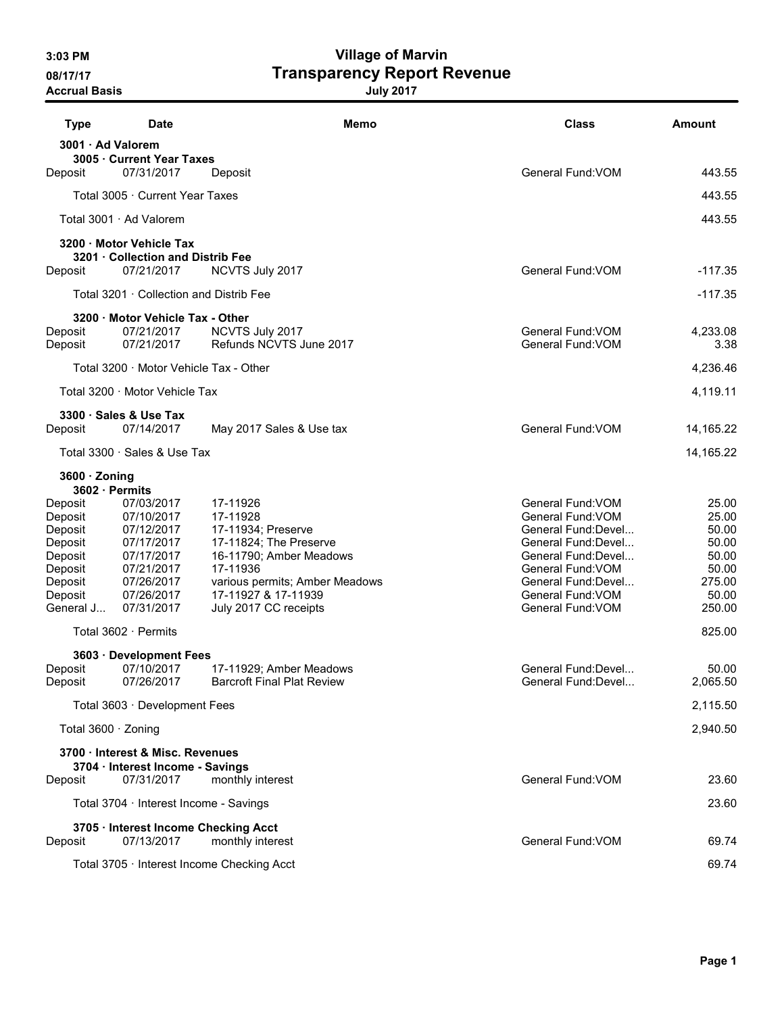# 3:03 PM Village of Marvin 08/17/17 **Transparency Report Revenue**

Accrual Basis July 2017

| <b>Type</b>                                                                                                         | <b>Date</b>                                                                                                                | Memo                                                                                                                                                                                          | <b>Class</b>                                                                                                                                                                                      | Amount                                                                          |
|---------------------------------------------------------------------------------------------------------------------|----------------------------------------------------------------------------------------------------------------------------|-----------------------------------------------------------------------------------------------------------------------------------------------------------------------------------------------|---------------------------------------------------------------------------------------------------------------------------------------------------------------------------------------------------|---------------------------------------------------------------------------------|
| 3001 · Ad Valorem                                                                                                   | 3005 · Current Year Taxes                                                                                                  |                                                                                                                                                                                               |                                                                                                                                                                                                   |                                                                                 |
| Deposit                                                                                                             | 07/31/2017                                                                                                                 | Deposit                                                                                                                                                                                       | General Fund: VOM                                                                                                                                                                                 | 443.55                                                                          |
|                                                                                                                     | Total 3005 · Current Year Taxes                                                                                            |                                                                                                                                                                                               |                                                                                                                                                                                                   | 443.55                                                                          |
|                                                                                                                     | Total 3001 · Ad Valorem                                                                                                    |                                                                                                                                                                                               |                                                                                                                                                                                                   | 443.55                                                                          |
|                                                                                                                     | 3200 Motor Vehicle Tax                                                                                                     |                                                                                                                                                                                               |                                                                                                                                                                                                   |                                                                                 |
| Deposit                                                                                                             | 3201 Collection and Distrib Fee<br>07/21/2017                                                                              | NCVTS July 2017                                                                                                                                                                               | General Fund: VOM                                                                                                                                                                                 | $-117.35$                                                                       |
|                                                                                                                     | Total 3201 · Collection and Distrib Fee                                                                                    |                                                                                                                                                                                               |                                                                                                                                                                                                   | $-117.35$                                                                       |
| Deposit<br>Deposit                                                                                                  | 3200 · Motor Vehicle Tax - Other<br>07/21/2017<br>07/21/2017                                                               | NCVTS July 2017<br>Refunds NCVTS June 2017                                                                                                                                                    | General Fund: VOM<br>General Fund: VOM                                                                                                                                                            | 4,233.08<br>3.38                                                                |
|                                                                                                                     | Total 3200 · Motor Vehicle Tax - Other                                                                                     |                                                                                                                                                                                               |                                                                                                                                                                                                   | 4,236.46                                                                        |
|                                                                                                                     | Total 3200 Motor Vehicle Tax                                                                                               |                                                                                                                                                                                               |                                                                                                                                                                                                   | 4,119.11                                                                        |
| Deposit                                                                                                             | 3300 · Sales & Use Tax<br>07/14/2017                                                                                       | May 2017 Sales & Use tax                                                                                                                                                                      | General Fund: VOM                                                                                                                                                                                 | 14,165.22                                                                       |
|                                                                                                                     | Total 3300 · Sales & Use Tax                                                                                               |                                                                                                                                                                                               |                                                                                                                                                                                                   | 14,165.22                                                                       |
| 3600 · Zoning                                                                                                       |                                                                                                                            |                                                                                                                                                                                               |                                                                                                                                                                                                   |                                                                                 |
| 3602 · Permits<br>Deposit<br>Deposit<br>Deposit<br>Deposit<br>Deposit<br>Deposit<br>Deposit<br>Deposit<br>General J | 07/03/2017<br>07/10/2017<br>07/12/2017<br>07/17/2017<br>07/17/2017<br>07/21/2017<br>07/26/2017<br>07/26/2017<br>07/31/2017 | 17-11926<br>17-11928<br>17-11934; Preserve<br>17-11824; The Preserve<br>16-11790; Amber Meadows<br>17-11936<br>various permits; Amber Meadows<br>17-11927 & 17-11939<br>July 2017 CC receipts | General Fund: VOM<br>General Fund: VOM<br>General Fund: Devel<br>General Fund: Devel<br>General Fund: Devel<br>General Fund: VOM<br>General Fund: Devel<br>General Fund: VOM<br>General Fund: VOM | 25.00<br>25.00<br>50.00<br>50.00<br>50.00<br>50.00<br>275.00<br>50.00<br>250.00 |
|                                                                                                                     | Total $3602 \cdot$ Permits                                                                                                 |                                                                                                                                                                                               |                                                                                                                                                                                                   | 825.00                                                                          |
|                                                                                                                     | 3603 · Development Fees                                                                                                    |                                                                                                                                                                                               |                                                                                                                                                                                                   |                                                                                 |
| Deposit<br>Deposit                                                                                                  | 07/10/2017<br>07/26/2017                                                                                                   | 17-11929; Amber Meadows<br><b>Barcroft Final Plat Review</b>                                                                                                                                  | General Fund: Devel<br>General Fund: Devel                                                                                                                                                        | 50.00<br>2,065.50                                                               |
|                                                                                                                     | Total 3603 · Development Fees                                                                                              |                                                                                                                                                                                               |                                                                                                                                                                                                   | 2,115.50                                                                        |
| Total 3600 · Zoning                                                                                                 |                                                                                                                            |                                                                                                                                                                                               |                                                                                                                                                                                                   | 2,940.50                                                                        |
|                                                                                                                     | 3700 · Interest & Misc. Revenues                                                                                           |                                                                                                                                                                                               |                                                                                                                                                                                                   |                                                                                 |
| Deposit                                                                                                             | 3704 · Interest Income - Savings<br>07/31/2017                                                                             | monthly interest                                                                                                                                                                              | General Fund: VOM                                                                                                                                                                                 | 23.60                                                                           |
|                                                                                                                     | Total 3704 · Interest Income - Savings                                                                                     |                                                                                                                                                                                               |                                                                                                                                                                                                   | 23.60                                                                           |
| Deposit                                                                                                             | 3705 · Interest Income Checking Acct<br>07/13/2017                                                                         | monthly interest                                                                                                                                                                              | General Fund: VOM                                                                                                                                                                                 | 69.74                                                                           |
|                                                                                                                     |                                                                                                                            | Total 3705 · Interest Income Checking Acct                                                                                                                                                    |                                                                                                                                                                                                   | 69.74                                                                           |
|                                                                                                                     |                                                                                                                            |                                                                                                                                                                                               |                                                                                                                                                                                                   |                                                                                 |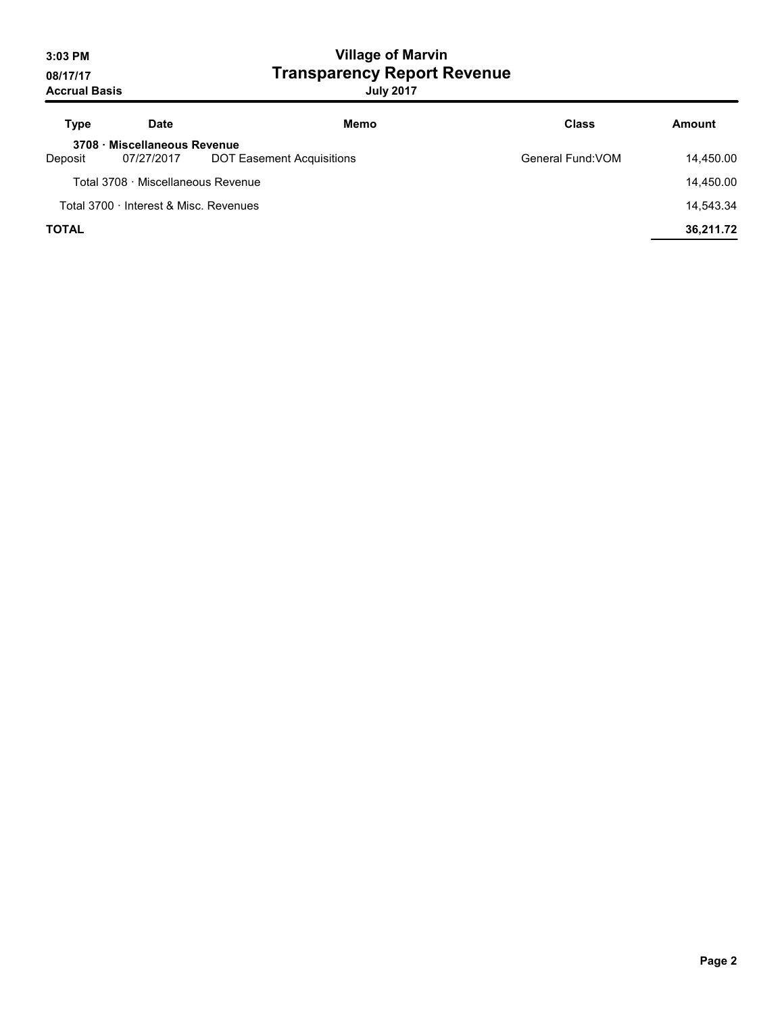# 3:03 PM Village of Marvin 08/17/17 **Transparency Report Revenue**

| Type         | Date                                       | Memo                             | <b>Class</b>      | Amount    |
|--------------|--------------------------------------------|----------------------------------|-------------------|-----------|
| Deposit      | 3708 · Miscellaneous Revenue<br>07/27/2017 | <b>DOT Easement Acquisitions</b> | General Fund: VOM | 14.450.00 |
|              | Total 3708 · Miscellaneous Revenue         |                                  |                   | 14.450.00 |
|              | Total 3700 · Interest & Misc. Revenues     |                                  |                   | 14.543.34 |
| <b>TOTAL</b> |                                            |                                  |                   | 36.211.72 |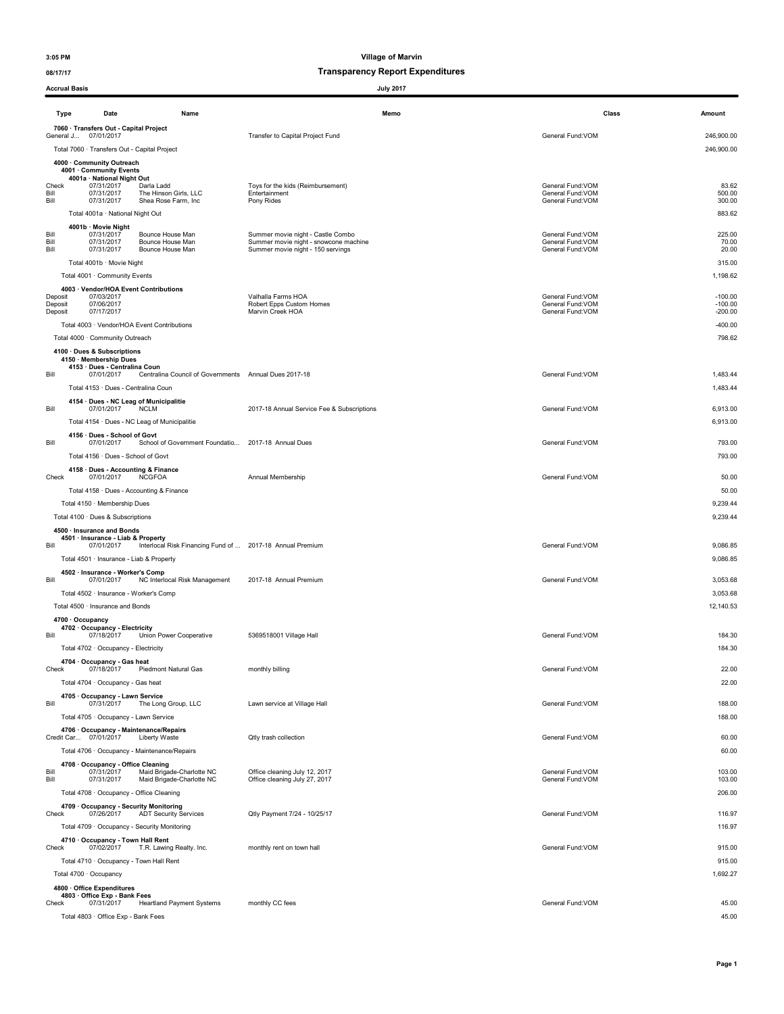### 08/17/17 08/17/17

| <b>Accrual Basis</b> |                                                                                 |                                                           | <b>July 2017</b>                                                           |                                        |                        |
|----------------------|---------------------------------------------------------------------------------|-----------------------------------------------------------|----------------------------------------------------------------------------|----------------------------------------|------------------------|
| Type                 | Date                                                                            | Name                                                      | Memo                                                                       | Class                                  | Amount                 |
|                      | 7060 · Transfers Out - Capital Project<br>General J 07/01/2017                  |                                                           | Transfer to Capital Project Fund                                           | General Fund:VOM                       | 246,900.00             |
|                      | Total 7060 · Transfers Out - Capital Project                                    |                                                           |                                                                            |                                        | 246,900.00             |
|                      | 4000 · Community Outreach<br>4001 · Community Events                            |                                                           |                                                                            |                                        |                        |
| Check                | 4001a · National Night Out<br>07/31/2017                                        | Darla Ladd                                                | Toys for the kids (Reimbursement)                                          | General Fund: VOM                      | 83.62                  |
| Bill<br>Bill         | 07/31/2017<br>07/31/2017                                                        | The Hinson Girls, LLC<br>Shea Rose Farm, Inc              | Entertainment<br>Pony Rides                                                | General Fund: VOM<br>General Fund: VOM | 500.00<br>300.00       |
|                      | Total 4001a · National Night Out                                                |                                                           |                                                                            |                                        | 883.62                 |
| Bill                 | 4001b · Movie Night<br>07/31/2017                                               | Bounce House Man                                          | Summer movie night - Castle Combo                                          | General Fund: VOM                      | 225.00                 |
| Bill<br>Bill         | 07/31/2017<br>07/31/2017                                                        | Bounce House Man<br>Bounce House Man                      | Summer movie night - snowcone machine<br>Summer movie night - 150 servings | General Fund: VOM<br>General Fund: VOM | 70.00<br>20.00         |
|                      | Total 4001b · Movie Night                                                       |                                                           |                                                                            |                                        | 315.00                 |
|                      | Total 4001 · Community Events                                                   |                                                           |                                                                            |                                        | 1,198.62               |
| Deposit              | 4003 · Vendor/HOA Event Contributions<br>07/03/2017                             |                                                           | Valhalla Farms HOA                                                         | General Fund: VOM                      | $-100.00$              |
| Deposit<br>Deposit   | 07/06/2017<br>07/17/2017                                                        |                                                           | Robert Epps Custom Homes<br>Marvin Creek HOA                               | General Fund: VOM<br>General Fund:VOM  | $-100.00$<br>$-200.00$ |
|                      |                                                                                 | Total 4003 · Vendor/HOA Event Contributions               |                                                                            |                                        | $-400.00$              |
|                      | Total 4000 · Community Outreach                                                 |                                                           |                                                                            |                                        | 798.62                 |
|                      | 4100 · Dues & Subscriptions<br>4150 · Membership Dues                           |                                                           |                                                                            |                                        |                        |
| Bill                 | 4153 · Dues - Centralina Coun<br>07/01/2017                                     | Centralina Council of Governments Annual Dues 2017-18     |                                                                            | General Fund:VOM                       | 1,483.44               |
|                      | Total 4153 · Dues - Centralina Coun                                             |                                                           |                                                                            |                                        | 1,483.44               |
| Bill                 | 4154 · Dues - NC Leag of Municipalitie<br>07/01/2017                            | <b>NCLM</b>                                               | 2017-18 Annual Service Fee & Subscriptions                                 | General Fund: VOM                      | 6.913.00               |
|                      |                                                                                 | Total 4154 · Dues - NC Leag of Municipalitie              |                                                                            |                                        | 6,913.00               |
|                      | 4156 · Dues - School of Govt                                                    |                                                           |                                                                            |                                        |                        |
| Bill                 | 07/01/2017<br>Total 4156 · Dues - School of Govt                                | School of Government Foundatio                            | 2017-18 Annual Dues                                                        | General Fund: VOM                      | 793.00<br>793.00       |
|                      | 4158 · Dues - Accounting & Finance                                              |                                                           |                                                                            |                                        |                        |
| Check                | 07/01/2017                                                                      | <b>NCGFOA</b>                                             | Annual Membership                                                          | General Fund: VOM                      | 50.00                  |
|                      | Total 4158 · Dues - Accounting & Finance<br>Total 4150 · Membership Dues        |                                                           |                                                                            |                                        | 50.00<br>9,239.44      |
|                      | Total 4100 · Dues & Subscriptions                                               |                                                           |                                                                            |                                        | 9,239.44               |
|                      | 4500 · Insurance and Bonds<br>4501 · Insurance - Liab & Property                |                                                           |                                                                            |                                        |                        |
| Bill                 | 07/01/2017                                                                      | Interlocal Risk Financing Fund of  2017-18 Annual Premium |                                                                            | General Fund: VOM                      | 9,086.85               |
|                      | Total 4501 · Insurance - Liab & Property                                        |                                                           |                                                                            |                                        | 9,086.85               |
| Bill                 | 4502 · Insurance - Worker's Comp<br>07/01/2017                                  | NC Interlocal Risk Management                             | 2017-18 Annual Premium                                                     | General Fund: VOM                      | 3,053.68               |
|                      | Total 4502 · Insurance - Worker's Comp                                          |                                                           |                                                                            |                                        | 3,053.68               |
|                      | Total 4500 · Insurance and Bonds                                                |                                                           |                                                                            |                                        | 12,140.53              |
|                      | 4700 · Occupancy<br>4702 · Occupancy - Electricity                              |                                                           |                                                                            |                                        |                        |
| Bill                 | 07/18/2017<br>Total 4702 · Occupancy - Electricity                              | Union Power Cooperative                                   | 5369518001 Village Hall                                                    | General Fund: VOM                      | 184.30<br>184.30       |
|                      | 4704 · Occupancy - Gas heat                                                     |                                                           |                                                                            |                                        |                        |
| Check                | 07/18/2017                                                                      | Piedmont Natural Gas                                      | monthly billing                                                            | General Fund: VOM                      | 22.00                  |
|                      | Total 4704 · Occupancy - Gas heat<br>4705 · Occupancy - Lawn Service            |                                                           |                                                                            |                                        | 22.00                  |
| Bill                 | 07/31/2017                                                                      | The Long Group, LLC                                       | Lawn service at Village Hall                                               | General Fund:VOM                       | 188.00                 |
|                      | Total 4705 · Occupancy - Lawn Service                                           |                                                           |                                                                            |                                        | 188.00                 |
|                      | 4706 · Occupancy - Maintenance/Repairs<br>Credit Car 07/01/2017                 | Liberty Waste                                             | Qtly trash collection                                                      | General Fund: VOM                      | 60.00                  |
|                      |                                                                                 | Total 4706 · Occupancy - Maintenance/Repairs              |                                                                            |                                        | 60.00                  |
| Bill                 | 4708 · Occupancy - Office Cleaning<br>07/31/2017                                | Maid Brigade-Charlotte NC                                 | Office cleaning July 12, 2017                                              | General Fund: VOM                      | 103.00                 |
| Bill                 | 07/31/2017<br>Total 4708 · Occupancy - Office Cleaning                          | Maid Brigade-Charlotte NC                                 | Office cleaning July 27, 2017                                              | General Fund: VOM                      | 103.00<br>206.00       |
|                      | 4709 Occupancy - Security Monitoring                                            |                                                           |                                                                            |                                        |                        |
| Check                | 07/26/2017                                                                      | <b>ADT Security Services</b>                              | Qtly Payment 7/24 - 10/25/17                                               | General Fund:VOM                       | 116.97                 |
|                      | Total 4709 · Occupancy - Security Monitoring<br>4710 Occupancy - Town Hall Rent |                                                           |                                                                            |                                        | 116.97                 |
| Check                | 07/02/2017                                                                      | T.R. Lawing Realty. Inc.                                  | monthly rent on town hall                                                  | General Fund: VOM                      | 915.00                 |
|                      | Total 4710 · Occupancy - Town Hall Rent                                         |                                                           |                                                                            |                                        | 915.00                 |
|                      | Total 4700 · Occupancy<br>4800 · Office Expenditures                            |                                                           |                                                                            |                                        | 1,692.27               |
| Check                | 4803 Office Exp - Bank Fees<br>07/31/2017                                       | <b>Heartland Payment Systems</b>                          | monthly CC fees                                                            | General Fund: VOM                      | 45.00                  |
|                      | Total 4803 · Office Exp - Bank Fees                                             |                                                           |                                                                            |                                        | 45.00                  |
|                      |                                                                                 |                                                           |                                                                            |                                        |                        |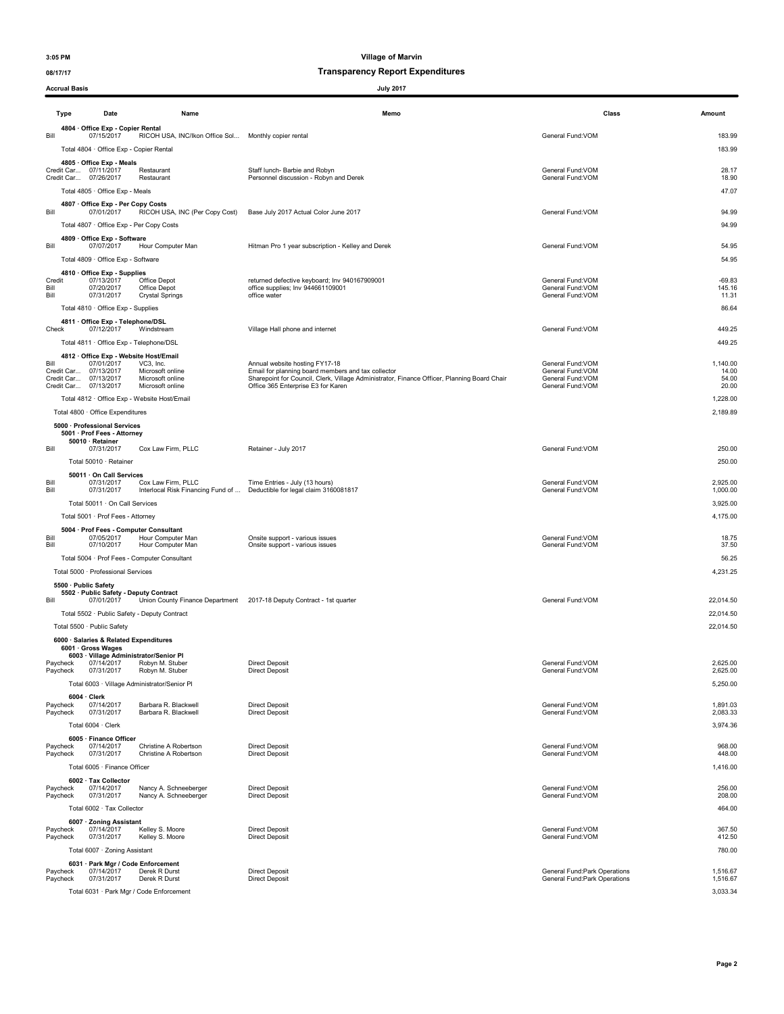### 08/17/17 08/17/17

| <b>Accrual Basis</b>   |                                                                                                                               |                                                                       | <b>July 2017</b>                                                                                                                                                                                                          |                                                                               |                                     |
|------------------------|-------------------------------------------------------------------------------------------------------------------------------|-----------------------------------------------------------------------|---------------------------------------------------------------------------------------------------------------------------------------------------------------------------------------------------------------------------|-------------------------------------------------------------------------------|-------------------------------------|
| Type                   | Date                                                                                                                          | Name                                                                  | Memo                                                                                                                                                                                                                      | Class                                                                         | Amount                              |
| Bill                   | 4804 · Office Exp - Copier Rental<br>07/15/2017                                                                               | RICOH USA, INC/Ikon Office Sol Monthly copier rental                  |                                                                                                                                                                                                                           | General Fund:VOM                                                              | 183.99                              |
|                        | Total 4804 · Office Exp - Copier Rental                                                                                       |                                                                       |                                                                                                                                                                                                                           |                                                                               | 183.99                              |
|                        | 4805 Office Exp - Meals<br>Credit Car 07/11/2017<br>Credit Car 07/26/2017                                                     | Restaurant<br>Restaurant                                              | Staff lunch- Barbie and Robyn<br>Personnel discussion - Robyn and Derek                                                                                                                                                   | General Fund:VOM<br>General Fund: VOM                                         | 28.17<br>18.90                      |
|                        | Total 4805 · Office Exp - Meals<br>4807 · Office Exp - Per Copy Costs                                                         |                                                                       |                                                                                                                                                                                                                           |                                                                               | 47.07                               |
| Bill                   | 07/01/2017<br>Total 4807 · Office Exp - Per Copy Costs                                                                        | RICOH USA, INC (Per Copy Cost)                                        | Base July 2017 Actual Color June 2017                                                                                                                                                                                     | General Fund:VOM                                                              | 94.99<br>94.99                      |
| Bill                   | 4809 · Office Exp - Software<br>07/07/2017<br>Total 4809 · Office Exp - Software                                              | Hour Computer Man                                                     | Hitman Pro 1 year subscription - Kelley and Derek                                                                                                                                                                         | General Fund: VOM                                                             | 54.95<br>54.95                      |
|                        | 4810 · Office Exp - Supplies                                                                                                  |                                                                       |                                                                                                                                                                                                                           |                                                                               |                                     |
| Credit<br>Bill<br>Bill | 07/13/2017<br>07/20/2017<br>07/31/2017                                                                                        | Office Depot<br>Office Depot<br>Crystal Springs                       | returned defective keyboard; Inv 940167909001<br>office supplies; Inv 944661109001<br>office water                                                                                                                        | General Fund: VOM<br>General Fund:VOM<br>General Fund: VOM                    | $-69.83$<br>145.16<br>11.31         |
|                        | Total 4810 · Office Exp - Supplies                                                                                            |                                                                       |                                                                                                                                                                                                                           |                                                                               | 86.64                               |
| Check                  | 4811 Office Exp - Telephone/DSL<br>07/12/2017                                                                                 | Windstream                                                            | Village Hall phone and internet                                                                                                                                                                                           | General Fund:VOM                                                              | 449.25                              |
|                        | Total 4811 · Office Exp - Telephone/DSL                                                                                       |                                                                       |                                                                                                                                                                                                                           |                                                                               | 449.25                              |
| Bill                   | 4812 Office Exp - Website Host/Email<br>07/01/2017<br>Credit Car 07/13/2017<br>Credit Car 07/13/2017<br>Credit Car 07/13/2017 | VC3, Inc.<br>Microsoft online<br>Microsoft online<br>Microsoft online | Annual website hosting FY17-18<br>Email for planning board members and tax collector<br>Sharepoint for Council, Clerk, Village Administrator, Finance Officer, Planning Board Chair<br>Office 365 Enterprise E3 for Karen | General Fund:VOM<br>General Fund:VOM<br>General Fund:VOM<br>General Fund: VOM | 1.140.00<br>14.00<br>54.00<br>20.00 |
|                        | Total 4812 · Office Exp - Website Host/Email                                                                                  |                                                                       |                                                                                                                                                                                                                           |                                                                               | 1,228.00                            |
|                        | Total 4800 · Office Expenditures                                                                                              |                                                                       |                                                                                                                                                                                                                           |                                                                               | 2,189.89                            |
|                        | 5000 · Professional Services<br>5001 · Prof Fees - Attorney                                                                   |                                                                       |                                                                                                                                                                                                                           |                                                                               |                                     |
| Bill                   | 50010 · Retainer<br>07/31/2017                                                                                                | Cox Law Firm, PLLC                                                    | Retainer - July 2017                                                                                                                                                                                                      | General Fund:VOM                                                              | 250.00                              |
|                        | Total 50010 · Retainer                                                                                                        |                                                                       |                                                                                                                                                                                                                           |                                                                               | 250.00                              |
| Bill<br>Bill           | 50011 · On Call Services<br>07/31/2017<br>07/31/2017                                                                          | Cox Law Firm, PLLC<br>Interlocal Risk Financing Fund of               | Time Entries - July (13 hours)<br>Deductible for legal claim 3160081817                                                                                                                                                   | General Fund:VOM<br>General Fund: VOM                                         | 2,925.00<br>1,000.00                |
|                        | Total 50011 · On Call Services                                                                                                |                                                                       |                                                                                                                                                                                                                           |                                                                               | 3,925.00                            |
|                        | Total 5001 · Prof Fees - Attorney                                                                                             |                                                                       |                                                                                                                                                                                                                           |                                                                               | 4,175.00                            |
| Bill<br>Bill           | 5004 · Prof Fees - Computer Consultant<br>07/05/2017<br>07/10/2017                                                            | Hour Computer Man<br>Hour Computer Man                                | Onsite support - various issues<br>Onsite support - various issues                                                                                                                                                        | General Fund:VOM<br>General Fund:VOM                                          | 18.75<br>37.50                      |
|                        |                                                                                                                               | Total 5004 · Prof Fees - Computer Consultant                          |                                                                                                                                                                                                                           |                                                                               | 56.25                               |
|                        | Total 5000 · Professional Services<br>5500 · Public Safety                                                                    |                                                                       |                                                                                                                                                                                                                           |                                                                               | 4,231.25                            |
| Bill                   | 5502 · Public Safety - Deputy Contract<br>07/01/2017                                                                          |                                                                       | Union County Finance Department 2017-18 Deputy Contract - 1st quarter                                                                                                                                                     | General Fund:VOM                                                              | 22,014.50                           |
|                        | Total 5502 · Public Safety - Deputy Contract<br>Total 5500 · Public Safety                                                    |                                                                       |                                                                                                                                                                                                                           |                                                                               | 22,014.50<br>22,014.50              |
|                        | 6000 · Salaries & Related Expenditures                                                                                        |                                                                       |                                                                                                                                                                                                                           |                                                                               |                                     |
| Paycheck<br>Paycheck   | 6001 · Gross Wages<br>6003 · Village Administrator/Senior Pl<br>07/14/2017<br>07/31/2017                                      | Robyn M. Stuber<br>Robyn M. Stuber                                    | <b>Direct Deposit</b><br><b>Direct Deposit</b>                                                                                                                                                                            | General Fund: VOM<br>General Fund: VOM                                        | 2,625.00<br>2,625.00                |
|                        |                                                                                                                               | Total 6003 · Village Administrator/Senior Pl                          |                                                                                                                                                                                                                           |                                                                               | 5,250.00                            |
| Paycheck<br>Paycheck   | $6004 \cdot$ Clerk<br>07/14/2017<br>07/31/2017                                                                                | Barbara R. Blackwell<br>Barbara R. Blackwell                          | <b>Direct Deposit</b><br><b>Direct Deposit</b>                                                                                                                                                                            | General Fund: VOM<br>General Fund: VOM                                        | 1,891.03<br>2,083.33                |
|                        | Total 6004 · Clerk                                                                                                            |                                                                       |                                                                                                                                                                                                                           |                                                                               | 3,974.36                            |
| Paycheck               | 6005 · Finance Officer<br>07/14/2017                                                                                          | Christine A Robertson                                                 | <b>Direct Deposit</b>                                                                                                                                                                                                     | General Fund:VOM                                                              | 968.00                              |
| Paycheck               | 07/31/2017<br>Total 6005 · Finance Officer                                                                                    | Christine A Robertson                                                 | <b>Direct Deposit</b>                                                                                                                                                                                                     | General Fund:VOM                                                              | 448.00<br>1,416.00                  |
|                        | 6002 · Tax Collector                                                                                                          |                                                                       |                                                                                                                                                                                                                           |                                                                               |                                     |
| Paycheck<br>Paycheck   | 07/14/2017<br>07/31/2017                                                                                                      | Nancy A. Schneeberger<br>Nancy A. Schneeberger                        | <b>Direct Deposit</b><br><b>Direct Deposit</b>                                                                                                                                                                            | General Fund:VOM<br>General Fund:VOM                                          | 256.00<br>208.00                    |
|                        | Total 6002 · Tax Collector                                                                                                    |                                                                       |                                                                                                                                                                                                                           |                                                                               | 464.00                              |
| Paycheck<br>Paycheck   | 6007 · Zoning Assistant<br>07/14/2017<br>07/31/2017                                                                           | Kelley S. Moore<br>Kelley S. Moore                                    | <b>Direct Deposit</b><br><b>Direct Deposit</b>                                                                                                                                                                            | General Fund:VOM<br>General Fund:VOM                                          | 367.50<br>412.50                    |
|                        | Total 6007 · Zoning Assistant<br>6031 · Park Mgr / Code Enforcement                                                           |                                                                       |                                                                                                                                                                                                                           |                                                                               | 780.00                              |
| Paycheck<br>Paycheck   | 07/14/2017<br>07/31/2017                                                                                                      | Derek R Durst<br>Derek R Durst                                        | <b>Direct Deposit</b><br><b>Direct Deposit</b>                                                                                                                                                                            | General Fund: Park Operations<br>General Fund: Park Operations                | 1,516.67<br>1,516.67                |
|                        | Total 6031 · Park Mgr / Code Enforcement                                                                                      |                                                                       |                                                                                                                                                                                                                           |                                                                               | 3,033.34                            |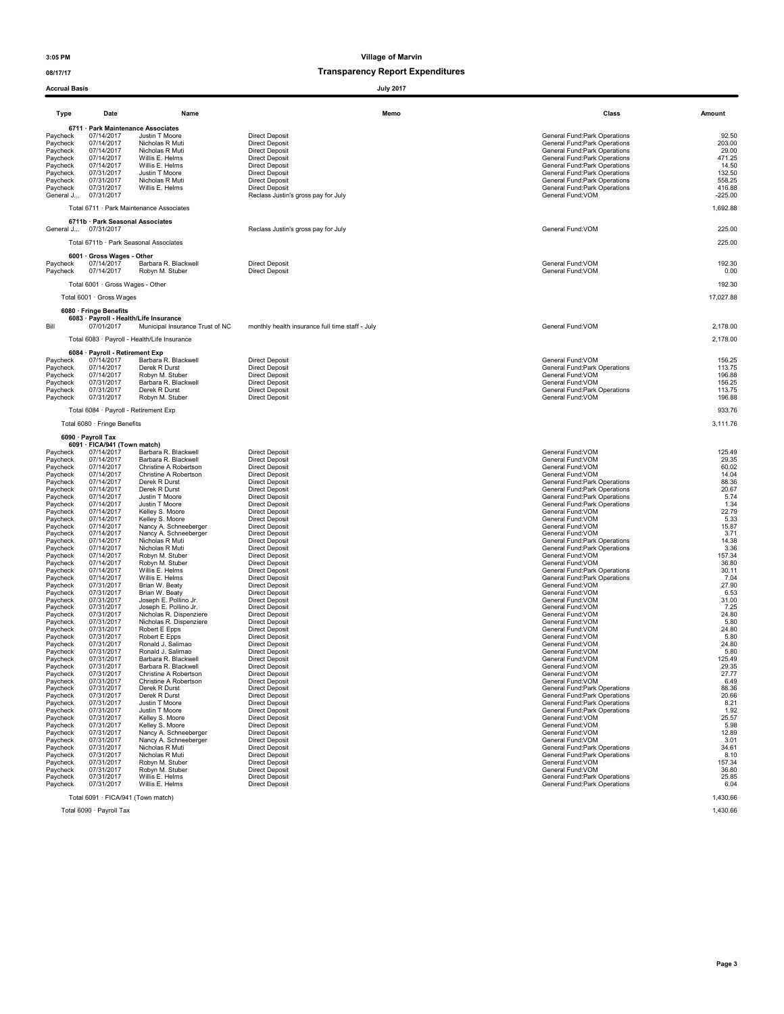### 08/17/17 08/17/17

Accrual Basis July 2017

| Type                  | Date                                       | Name                                           | Memo                                                         | Class                                                          | Amount              |
|-----------------------|--------------------------------------------|------------------------------------------------|--------------------------------------------------------------|----------------------------------------------------------------|---------------------|
|                       |                                            | 6711 · Park Maintenance Associates             |                                                              |                                                                |                     |
| Paycheck              | 07/14/2017                                 | Justin T Moore                                 | <b>Direct Deposit</b>                                        | General Fund:Park Operations                                   | 92.50               |
| Paycheck              | 07/14/2017                                 | Nicholas R Muti                                | <b>Direct Deposit</b>                                        | General Fund: Park Operations                                  | 203.00              |
| Paycheck              | 07/14/2017                                 | Nicholas R Muti                                | <b>Direct Deposit</b>                                        | General Fund: Park Operations                                  | 29.00               |
| Paycheck<br>Paycheck  | 07/14/2017<br>07/14/2017                   | Willis E. Helms<br>Willis E. Helms             | <b>Direct Deposit</b><br><b>Direct Deposit</b>               | General Fund: Park Operations<br>General Fund:Park Operations  | 471.25<br>14.50     |
| Paycheck              | 07/31/2017                                 | Justin T Moore                                 | <b>Direct Deposit</b>                                        | General Fund:Park Operations                                   | 132.50              |
| Paycheck              | 07/31/2017                                 | Nicholas R Muti                                | <b>Direct Deposit</b>                                        | General Fund: Park Operations                                  | 558.25              |
| Paycheck<br>General J | 07/31/2017<br>07/31/2017                   | Willis E. Helms                                | <b>Direct Deposit</b><br>Reclass Justin's gross pay for July | General Fund: Park Operations<br>General Fund: VOM             | 416.88<br>$-225.00$ |
|                       |                                            | Total 6711 · Park Maintenance Associates       |                                                              |                                                                | 1,692.88            |
|                       | 6711b · Park Seasonal Associates           |                                                |                                                              |                                                                |                     |
|                       | General J 07/31/2017                       |                                                | Reclass Justin's gross pay for July                          | General Fund: VOM                                              | 225.00              |
|                       |                                            | Total 6711b · Park Seasonal Associates         |                                                              |                                                                | 225.00              |
|                       | 6001 · Gross Wages - Other                 |                                                |                                                              |                                                                |                     |
| Paycheck<br>Paycheck  | 07/14/2017<br>07/14/2017                   | Barbara R. Blackwell<br>Robyn M. Stuber        | <b>Direct Deposit</b><br><b>Direct Deposit</b>               | General Fund: VOM<br>General Fund: VOM                         | 192.30<br>0.00      |
|                       |                                            |                                                |                                                              |                                                                |                     |
|                       | Total 6001 · Gross Wages - Other           |                                                |                                                              |                                                                | 192.30              |
|                       | Total 6001 · Gross Wages                   |                                                |                                                              |                                                                | 17,027.88           |
|                       | 6080 · Fringe Benefits                     | 6083 · Payroll - Health/Life Insurance         |                                                              |                                                                |                     |
| Bill                  | 07/01/2017                                 | Municipal Insurance Trust of NC                | monthly health insurance full time staff - July              | General Fund: VOM                                              | 2,178.00            |
|                       |                                            | Total 6083 · Payroll - Health/Life Insurance   |                                                              |                                                                | 2,178.00            |
|                       | 6084 · Payroll - Retirement Exp            |                                                |                                                              |                                                                |                     |
| Paycheck              | 07/14/2017                                 | Barbara R. Blackwell                           | <b>Direct Deposit</b>                                        | General Fund: VOM                                              | 156.25              |
| Paycheck              | 07/14/2017<br>07/14/2017                   | Derek R Durst<br>Robyn M. Stuber               | <b>Direct Deposit</b>                                        | General Fund: Park Operations                                  | 113.75              |
| Paycheck<br>Paycheck  | 07/31/2017                                 | Barbara R. Blackwell                           | <b>Direct Deposit</b><br><b>Direct Deposit</b>               | General Fund: VOM<br>General Fund: VOM                         | 196.88<br>156.25    |
| Paycheck              | 07/31/2017                                 | Derek R Durst                                  | <b>Direct Deposit</b>                                        | General Fund: Park Operations                                  | 113.75              |
| Paycheck              | 07/31/2017                                 | Robyn M. Stuber                                | <b>Direct Deposit</b>                                        | General Fund: VOM                                              | 196.88              |
|                       | Total 6084 · Payroll - Retirement Exp      |                                                |                                                              |                                                                | 933.76              |
|                       | Total 6080 · Fringe Benefits               |                                                |                                                              |                                                                | 3,111.76            |
|                       | 6090 · Payroll Tax                         |                                                |                                                              |                                                                |                     |
|                       | 6091 · FICA/941 (Town match)<br>07/14/2017 | Barbara R. Blackwell                           | <b>Direct Deposit</b>                                        | General Fund: VOM                                              | 125.49              |
| Paycheck<br>Paycheck  | 07/14/2017                                 | Barbara R. Blackwell                           | <b>Direct Deposit</b>                                        | General Fund:VOM                                               | 29.35               |
| Paycheck              | 07/14/2017                                 | Christine A Robertson                          | <b>Direct Deposit</b>                                        | General Fund:VOM                                               | 60.02               |
| Paycheck<br>Paycheck  | 07/14/2017<br>07/14/2017                   | Christine A Robertson<br>Derek R Durst         | <b>Direct Deposit</b><br><b>Direct Deposit</b>               | General Fund: VOM<br>General Fund: Park Operations             | 14.04<br>88.36      |
| Paycheck              | 07/14/2017                                 | Derek R Durst                                  | <b>Direct Deposit</b>                                        | General Fund: Park Operations                                  | 20.67               |
| Paycheck              | 07/14/2017                                 | Justin T Moore                                 | <b>Direct Deposit</b>                                        | General Fund:Park Operations                                   | 5.74                |
| Paycheck              | 07/14/2017                                 | Justin T Moore                                 | <b>Direct Deposit</b>                                        | General Fund:Park Operations<br>General Fund: VOM              | 1.34                |
| Paycheck<br>Paycheck  | 07/14/2017<br>07/14/2017                   | Kelley S. Moore<br>Kelley S. Moore             | Direct Deposit<br><b>Direct Deposit</b>                      | General Fund: VOM                                              | 22.79<br>5.33       |
| Paycheck              | 07/14/2017                                 | Nancy A. Schneeberger                          | <b>Direct Deposit</b>                                        | General Fund:VOM                                               | 15.87               |
| Paycheck              | 07/14/2017                                 | Nancy A. Schneeberger                          | <b>Direct Deposit</b>                                        | General Fund: VOM                                              | 3.71                |
| Paycheck<br>Paycheck  | 07/14/2017<br>07/14/2017                   | Nicholas R Muti<br>Nicholas R Muti             | <b>Direct Deposit</b><br><b>Direct Deposit</b>               | General Fund: Park Operations<br>General Fund: Park Operations | 14.38<br>3.36       |
| Paycheck              | 07/14/2017                                 | Robyn M. Stuber                                | <b>Direct Deposit</b>                                        | General Fund:VOM                                               | 157.34              |
| Paycheck              | 07/14/2017                                 | Robyn M. Stuber                                | <b>Direct Deposit</b>                                        | General Fund:VOM                                               | 36.80               |
| Paycheck<br>Paycheck  | 07/14/2017<br>07/14/2017                   | Willis E. Helms<br>Willis E. Helms             | <b>Direct Deposit</b><br><b>Direct Deposit</b>               | General Fund: Park Operations<br>General Fund:Park Operations  | 30.11<br>7.04       |
| Paycheck              | 07/31/2017                                 | Brian W. Beaty                                 | <b>Direct Deposit</b>                                        | General Fund:VOM                                               | 27.90               |
| Paycheck              | 07/31/2017                                 | Brian W. Beaty                                 | <b>Direct Deposit</b>                                        | General Fund:VOM                                               | 6.53                |
| Paycheck<br>Paycheck  | 07/31/2017<br>07/31/2017                   | Joseph E. Pollino Jr.<br>Joseph E. Pollino Jr. | <b>Direct Deposit</b><br><b>Direct Deposit</b>               | General Fund: VOM<br>General Fund:VOM                          | 31.00<br>7.25       |
| Paycheck              | 07/31/2017                                 | Nicholas R. Dispenziere                        | <b>Direct Deposit</b>                                        | General Fund:VOM                                               | 24.80               |
| Paycheck              | 07/31/2017                                 | Nicholas R. Dispenziere                        | <b>Direct Deposit</b>                                        | General Fund:VOM                                               | 5.80                |
| Paycheck<br>Paycheck  | 07/31/2017<br>07/31/2017                   | Robert E Epps<br>Robert E Epps                 | <b>Direct Deposit</b><br><b>Direct Deposit</b>               | General Fund:VOM<br>General Fund:VOM                           | 24.80<br>5.80       |
| Paycheck              | 07/31/2017                                 | Ronald J. Salimao                              | <b>Direct Deposit</b>                                        | General Fund: VOM                                              | 24.80               |
| Paycheck              | 07/31/2017                                 | Ronald J. Salimao                              | <b>Direct Deposit</b>                                        | General Fund:VOM                                               | 5.80                |
| Paycheck              | 07/31/2017                                 | Barbara R. Blackwell                           | <b>Direct Deposit</b>                                        | General Fund:VOM                                               | 125.49              |
| Paycneck<br>Paycheck  | 07/31/2017<br>07/31/2017                   | Barbara R. Blackwell<br>Christine A Robertson  | <b>DIFECT DEPOSIT</b><br><b>Direct Deposit</b>               | General Fund: VOM<br>General Fund: VOM                         | 29.35<br>27.77      |
| Paycheck              | 07/31/2017                                 | Christine A Robertson                          | <b>Direct Deposit</b>                                        | General Fund:VOM                                               | 6.49                |
| Paycheck<br>Paycheck  | 07/31/2017<br>07/31/2017                   | Derek R Durst<br>Derek R Durst                 | <b>Direct Deposit</b><br><b>Direct Deposit</b>               | General Fund: Park Operations<br>General Fund:Park Operations  | 88.36<br>20.66      |
| Paycheck              | 07/31/2017                                 | Justin T Moore                                 | <b>Direct Deposit</b>                                        | General Fund:Park Operations                                   | 8.21                |
| Paycheck              | 07/31/2017                                 | Justin T Moore                                 | <b>Direct Deposit</b>                                        | General Fund:Park Operations                                   | 1.92                |
| Paycheck<br>Paycheck  | 07/31/2017<br>07/31/2017                   | Kelley S. Moore<br>Kelley S. Moore             | <b>Direct Deposit</b><br><b>Direct Deposit</b>               | General Fund:VOM<br>General Fund:VOM                           | 25.57<br>5.98       |
| Paycheck              | 07/31/2017                                 | Nancy A. Schneeberger                          | <b>Direct Deposit</b>                                        | General Fund:VOM                                               | 12.89               |
| Paycheck              | 07/31/2017                                 | Nancy A. Schneeberger                          | <b>Direct Deposit</b>                                        | General Fund:VOM                                               | 3.01                |
| Paycheck              | 07/31/2017                                 | Nicholas R Muti<br>Nicholas R Muti             | <b>Direct Deposit</b><br><b>Direct Deposit</b>               | General Fund: Park Operations<br>General Fund: Park Operations | 34.61               |
| Paycheck<br>Paycheck  | 07/31/2017<br>07/31/2017                   | Robyn M. Stuber                                | <b>Direct Deposit</b>                                        | General Fund:VOM                                               | 8.10<br>157.34      |
| Paycheck              | 07/31/2017                                 | Robyn M. Stuber                                | <b>Direct Deposit</b>                                        | General Fund:VOM                                               | 36.80               |
| Paycheck<br>Paycheck  | 07/31/2017<br>07/31/2017                   | Willis E. Helms<br>Willis E. Helms             | <b>Direct Deposit</b><br><b>Direct Deposit</b>               | General Fund: Park Operations<br>General Fund: Park Operations | 25.85<br>6.04       |
|                       |                                            |                                                |                                                              |                                                                |                     |

Total 6091 · FICA/941 (Town match) 1,430.66

Total 6090 · Payroll Tax 1,430.66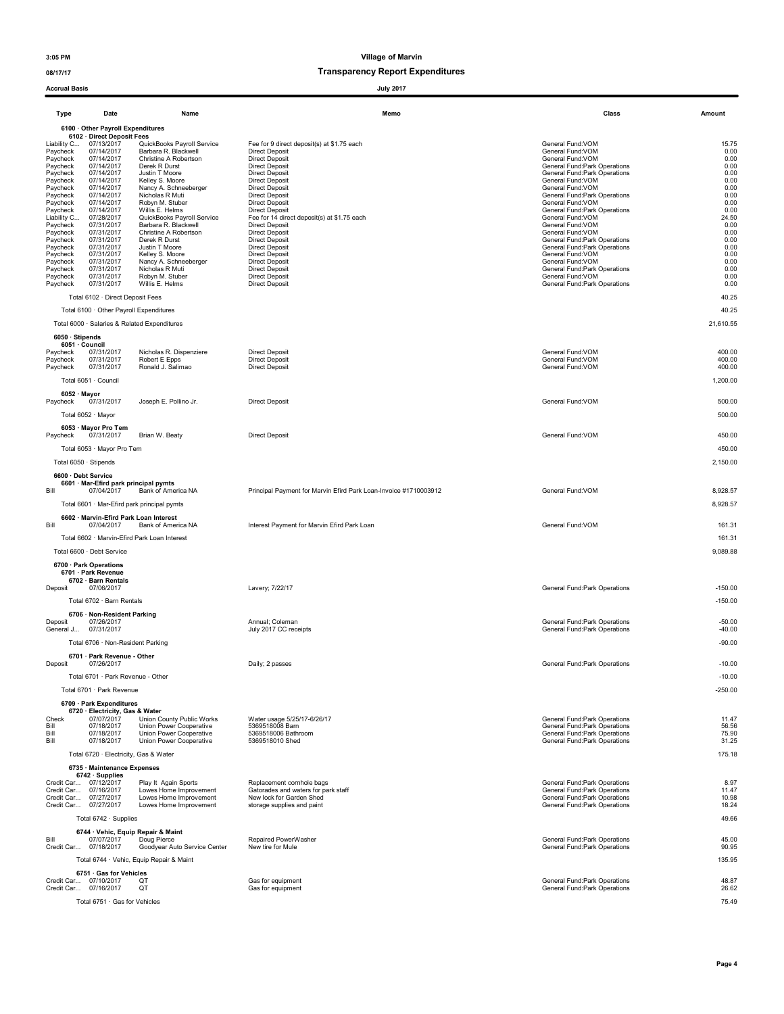#### 08/17/17 Transparency Report Expenditures

Type Date Name Memo Class Amount 6100 · Other Payroll Expenditures 6102 · Direct Deposit Fees<br>Liability C... 07/13/2017 QuickBooks Payroll Service Fee for 9 direct deposit(s) at \$1.75 each General Fund:VOM General Fund:VOM C... 07/13/2017 QuickBooks Payroll Service Paycheck 07/14/2017 Barbara R. Blackwell Direct Deposit General Fund:VOM 0.00 Paycheck 07/14/2017 Christine A Robertson Direct Deposit General Fund:VOM 0.00 Paycheck 07/14/2017 Derek R Durst Direct Deposit General Fund:Park Operations 0.00 Paycheck 07/14/2017 Justin TMoore Per US Such Deposit<br>
Paycheck 07/14/2017 Barbara R. Blackwell Direct Deposit<br>
Paycheck 07/14/2017 Christine A Robertson Direct Deposit<br>
Paycheck 07/14/2017 Justin T Moore Direct Deposit<br>
P orthus and the VS. Moore Medievics of Direct Deposit Control of the Senetal Fund:VOM orthus and the Ceneral Fund:VOM 0.000 Ceneral Fund:VOM 0.000 Ceneral Fund:VOM 0.000 Ceneral Fund:VOM 0.000 Ceneral Fund:VOM 0.000 Ceneral Paycheck 07/14/2017 Nancy A. Schneeberger Direct Deposit General Fund: General Fund: VOM General Fund: VOM 0.00 Paycheck 07/14/2017 Nicholas R Muti Direct Deposit<br>Paycheck 07/14/2017 Nicholas R Muti Direct Deposit Direct Deposit<br>Paycheck 07/14/2017 Robyn M. Stuber Direct Deposit Direct Deposit General Fund:Park Operations 0.00<br>Paych Paycheck 07/14/2017 Robyn M. Stuber Direct Deposit General Fund:VOM 0.00 Paycheck 07/14/2017 Willis E. Helms Direct Deposit General Fund:Park Operations 0.00 Liability C... 07/28/2017 QuickBooks Payroll Service Fee for 14 direct deposit(s) at \$1.75 each General Fund:VOM C.<br>
Paycheck 07/31/2017 Berichara R. Blackwell Direct Deposit<br>
Paycheck 07/31/2017 Christine A Robertson Dire Paycheck 07/31/2017 Barbara R. Blackwell Direct Deposit Direct Deposit General Fund:VOM General Fund:VOM 0.00 Paycheck 07/31/2017 Christine A Robertson Direct Deposit General Fund:VOM General Fund:VOM 0.00 Paycheck 07/31/2017 Derek R Durst Mateur Direct Deposit<br>Paycheck 07/31/2017 Justin TMoore Mateur Direct Deposit Mateur Direct Direct Secret (Secret Particle of General Fund:Park Operations to a mateur 0.00<br>Paycheck 07/31/2 Paycheck 07/31/2017 Nancy A. Schneeberger Direct Deposit General Fund:VOM 0.00 raycheck 07/31/2017 Nicholas R.Muti Direct Deposit<br>Paycheck 07/31/2017 Nicholas R.Muti Direct Deposit General Fund:Park Operations General Fund:Park Operations 0<br>Paycheck 07/31/2017 Willis E. Helms – Direct Deposit Genera Paycheck 07/31/2017 Robyn M. Stuber Direct Deposit General Fund: Direct Deposit General Fund:VOM O.00<br>Paycheck 07/31/2017 Willis E. Helms Direct Deposit General American Direct Deposit General Fund:Park Operations i Total 6102 · Direct Deposit Fees 40.25 Total 6100 · Other Payroll Expenditures 40.25 Total 6000 · Salaries & Related Expenditures 21,610.55 6050 · Stipends 6051 · Council Paycheck 07/31/2017 Nicholas R. Dispenziere Direct Deposit General Fund:VOM 400.00 Paycheck 07/31/2017 Robert E Epps Direct Deposit General Fund:VOM 400.00 Paycheck 07/31/2017 Ronald J. Salimao Direct Deposit Deposit General Fund:VOM General Fund:VOM 400.00 Total 6051 · Council 1,200.00  $6052 \cdot$  Mayor<br>Paycheck 07/31/2017 Paycheck 07/31/2017 Joseph E. Pollino Jr. Direct Deposit General Fund:VOM 500.00 Total 6052 · Mayor 500.00 6053 · Mayor Pro Tem Paycheck 07/31/2017 Brian W. Beaty Direct Deposit General Fund:VOM 450.00 Total 6053 · Mayor Pro Tem 450.00 Total 6050 · Stipends 2,150.00 6600 · Debt Service 6601 · Mar-Efird park principal pymts Bill 07/04/2017 Bank of America NA Principal Payment for Marvin Efird Park Loan-Invoice #1710003912 General Fund:VOM 8,928.57 Total 6601 · Mar-Efird park principal pymts 8,928.57 6602 · Marvin-Efird Park Loan Interest Bill 07/04/2017 Bank of America NA Interest Payment for Marvin Efird Park Loan General Fund:VOM 161.31 Total 6602 · Marvin-Efird Park Loan Interest 161.31 Total 6600 · Debt Service 9,089.88 6700 · Park Operations 6701 · Park Revenue 6702 · Barn Rentals Deposit 07/06/2017 **Lavery; 7/22/17** Lavery; 7/22/17 **Channel Punch Control Control Control Control Control Control Control Control Control Control Control Control Control Control Control Control Control Control Control Co** Total 6702 · Barn Rentals **-150.00** · 150.00 6706 · Non-Resident Parking<br>Deposit 07/26/2017 Annual; Coleman General Fund:Park Operations 50.00<br>General J... 07/31/2017 July 2017 CC receipts Total 6706 · Non-Resident Parking -90.00 · 90.00 · 90.00 · 90.00 · 90.00 · 90.00 · 90.00 · 90.00 · 90.00 · 90.00 · 90.00 · 90.00 · 90.00 · 90.00 · 90.00 · 90.00 · 90.00 · 90.00 · 90.00 · 90.00 · 90.00 · 90.00 · 90.00 · 90. 6701 · Park Revenue - Other<br>Deposit 07/26/2017 Daily; 2 passes and the position of the passes of the contract of the contract of the contract of the contract of the contract of the contract of the contract of the contract of the contract of the contract of the contract Total 6701 · Park Revenue - Other -10.00 Total 6701 · Park Revenue -250.00 6709 · Park Expenditures 6720 · Electricity, Gas & Water Check 07/07/2017 Union County Public Works Water usage 5/25/17-6/26/17<br>
Check 07/07/2017 Union Power Cooperative 5369518006 Barthroom<br>
Bill 07/18/2017 Union Power Cooperative 5369518006 Barthroom<br>
Bill 07/18/2017 Union Pow Bill 07/18/2017 Union Power Cooperative 5369518008 Barn General Fund:Park Operations 56.56 Bill 07/18/2017 Union Power Cooperative 5369518006 Bathroom General Fund:Park Operations 75.90 Bill 07/18/2017 Union Power Cooperative 5369518010 Shed General Fund:Park Operations 31.25 Total 6720 · Electricity, Gas & Water 175.18 6735 · Maintenance Expenses 6742 · Supplies Credit Car... 07/12/2017 Play It Again Sports Replacement conhole bags and waters for park staff Credit Car... 07/12/2017 Play It Again Sports Replacement Gatorades and waters for park staff General Fund:Park Operations 11 Credit Car… 07/16/2017 Lowes Home Improvement Gatorades and waters for park staff<br>Credit Car… 07/27/2017 Lowes Home Improvement New lock for Garden Shed to and the staff of the state of the st Care in the care of the credit Care of the Credit Care of the Credit Care of Credit Care of Credit Care of Care of the Credit Care of Care of the Credit Care of the Credit Care of the Credit Care of the Credit Care of the Total 6742 · Supplies 49.66 6744 · Vehic, Equip Repair & Maint Bill 07/07/2017 Doug Pierce Repaired PowerWasher General Fund:Park Operations 45.00<br>Credit Car... 07/18/2017 Goodyear Auto Service Center New tire for Mule General Fund:Park Operations 90.95 Schemal Fund:Park Operations Total 6744 · Vehic, Equip Repair & Maint 135.95 6751 · Gas for Vehicles Credit Car... 07/10/2017 QT Gas for equipment General Fund:Park Operations 48.87 Credit Car... 07/16/2017 QT Gas for equipment General Fund:Park Operations 26.62 Accrual Basis July 2017

Total 6751 · Gas for Vehicles 75.49